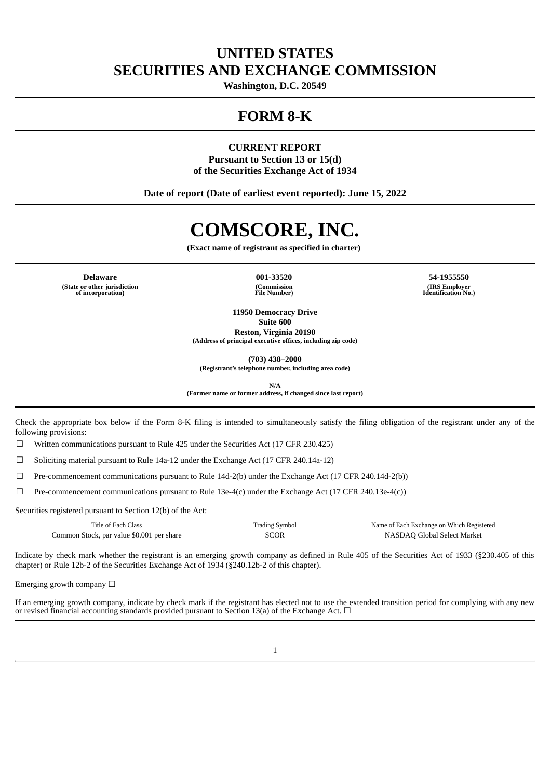# **UNITED STATES SECURITIES AND EXCHANGE COMMISSION**

**Washington, D.C. 20549**

# **FORM 8-K**

## **CURRENT REPORT Pursuant to Section 13 or 15(d) of the Securities Exchange Act of 1934**

**Date of report (Date of earliest event reported): June 15, 2022**

# **COMSCORE, INC.**

**(Exact name of registrant as specified in charter)**

**Delaware 001-33520 54-1955550 (State or other jurisdiction of incorporation)**

**(Commission File Number)**

**(IRS Employer Identification No.)**

**11950 Democracy Drive Suite 600 Reston, Virginia 20190**

**(Address of principal executive offices, including zip code)**

**(703) 438–2000**

**(Registrant's telephone number, including area code)**

**N/A**

**(Former name or former address, if changed since last report)**

Check the appropriate box below if the Form 8-K filing is intended to simultaneously satisfy the filing obligation of the registrant under any of the following provisions:

 $\Box$  Written communications pursuant to Rule 425 under the Securities Act (17 CFR 230.425)

☐ Soliciting material pursuant to Rule 14a-12 under the Exchange Act (17 CFR 240.14a-12)

☐ Pre-commencement communications pursuant to Rule 14d-2(b) under the Exchange Act (17 CFR 240.14d-2(b))

 $\Box$  Pre-commencement communications pursuant to Rule 13e-4(c) under the Exchange Act (17 CFR 240.13e-4(c))

Securities registered pursuant to Section 12(b) of the Act:

| Title of Each Class                       | Frading Symbol | Name of Each Exchange on Which Registered |
|-------------------------------------------|----------------|-------------------------------------------|
| Common Stock, par value \$0.001 per share | SCOR           | NASDAO Global Select Market               |

Indicate by check mark whether the registrant is an emerging growth company as defined in Rule 405 of the Securities Act of 1933 (§230.405 of this chapter) or Rule 12b-2 of the Securities Exchange Act of 1934 (§240.12b-2 of this chapter).

Emerging growth company  $\Box$ 

If an emerging growth company, indicate by check mark if the registrant has elected not to use the extended transition period for complying with any new or revised financial accounting standards provided pursuant to Section 13(a) of the Exchange Act.  $\Box$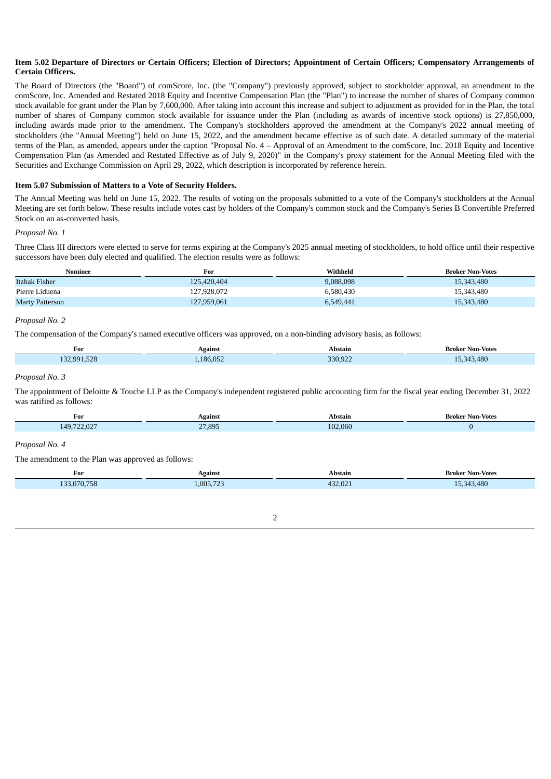#### Item 5.02 Departure of Directors or Certain Officers; Election of Directors; Appointment of Certain Officers; Compensatory Arrangements of **Certain Officers.**

The Board of Directors (the "Board") of comScore, Inc. (the "Company") previously approved, subject to stockholder approval, an amendment to the comScore, Inc. Amended and Restated 2018 Equity and Incentive Compensation Plan (the "Plan") to increase the number of shares of Company common stock available for grant under the Plan by 7,600,000. After taking into account this increase and subject to adjustment as provided for in the Plan, the total number of shares of Company common stock available for issuance under the Plan (including as awards of incentive stock options) is 27,850,000, including awards made prior to the amendment. The Company's stockholders approved the amendment at the Company's 2022 annual meeting of stockholders (the "Annual Meeting") held on June 15, 2022, and the amendment became effective as of such date. A detailed summary of the material terms of the Plan, as amended, appears under the caption "Proposal No. 4 – Approval of an Amendment to the comScore, Inc. 2018 Equity and Incentive Compensation Plan (as Amended and Restated Effective as of July 9, 2020)" in the Company's proxy statement for the Annual Meeting filed with the Securities and Exchange Commission on April 29, 2022, which description is incorporated by reference herein.

#### **Item 5.07 Submission of Matters to a Vote of Security Holders.**

The Annual Meeting was held on June 15, 2022. The results of voting on the proposals submitted to a vote of the Company's stockholders at the Annual Meeting are set forth below. These results include votes cast by holders of the Company's common stock and the Company's Series B Convertible Preferred Stock on an as-converted basis.

#### *Proposal No. 1*

Three Class III directors were elected to serve for terms expiring at the Company's 2025 annual meeting of stockholders, to hold office until their respective successors have been duly elected and qualified. The election results were as follows:

| Nominee         | For         | Withheld  | <b>Broker Non-Votes</b> |
|-----------------|-------------|-----------|-------------------------|
| Itzhak Fisher   | 125.420.404 | 9,088,098 | 15,343,480              |
| Pierre Liduena  | 127,928,072 | 6.580.430 | 15,343,480              |
| Marty Patterson | 127,959,061 | 6,549,441 | 15,343,480              |

## *Proposal No. 2*

The compensation of the Company's named executive officers was approved, on a non-binding advisory basis, as follows:

| $\sim$ $\sim$ $\sim$          |                                |      |
|-------------------------------|--------------------------------|------|
| $F \Omega$<br>$\alpha$<br>186 | 0.022<br>$\sim$ $\sim$<br>. JZ | .480 |

#### *Proposal No. 3*

The appointment of Deloitte & Touche LLP as the Company's independent registered public accounting firm for the fiscal year ending December 31, 2022 was ratified as follows:

| For                 | Against | Abstain | -Votes<br>Broker<br>Non- |
|---------------------|---------|---------|--------------------------|
| 149 722 027<br>2.UZ | 27,895  | 02.060  |                          |

#### *Proposal No. 4*

The amendment to the Plan was approved as follows:

| For         | Against   | Abstain | <b>Broker Non-Votes</b> |
|-------------|-----------|---------|-------------------------|
| 133,070,758 | 1,005,723 | 432,021 | 15.343.480              |

 $\overline{2}$